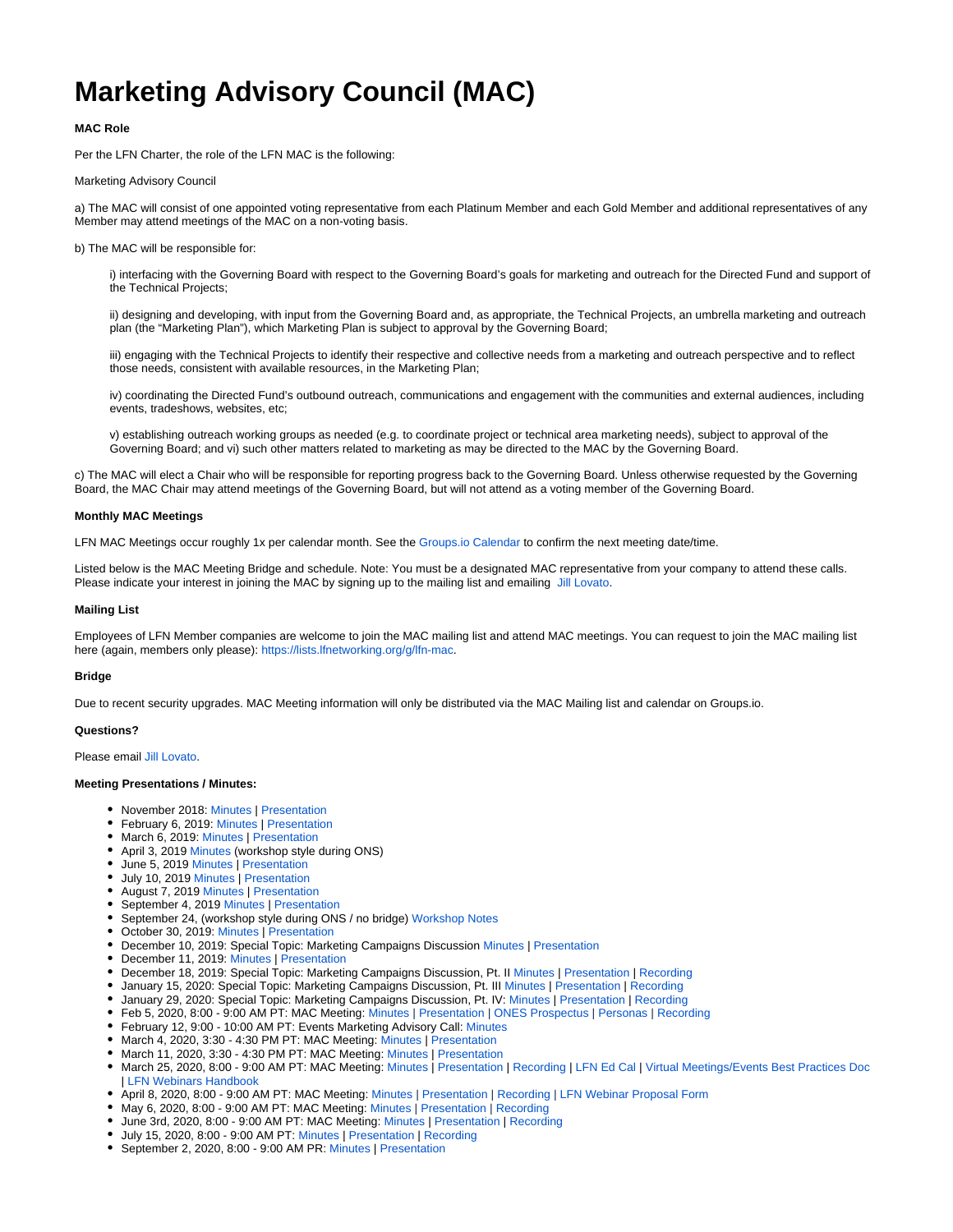# **Marketing Advisory Council (MAC)**

# **MAC Role**

Per the LFN Charter, the role of the LFN MAC is the following:

### Marketing Advisory Council

a) The MAC will consist of one appointed voting representative from each Platinum Member and each Gold Member and additional representatives of any Member may attend meetings of the MAC on a non-voting basis.

#### b) The MAC will be responsible for:

i) interfacing with the Governing Board with respect to the Governing Board's goals for marketing and outreach for the Directed Fund and support of the Technical Projects;

ii) designing and developing, with input from the Governing Board and, as appropriate, the Technical Projects, an umbrella marketing and outreach plan (the "Marketing Plan"), which Marketing Plan is subject to approval by the Governing Board;

iii) engaging with the Technical Projects to identify their respective and collective needs from a marketing and outreach perspective and to reflect those needs, consistent with available resources, in the Marketing Plan;

iv) coordinating the Directed Fund's outbound outreach, communications and engagement with the communities and external audiences, including events, tradeshows, websites, etc;

v) establishing outreach working groups as needed (e.g. to coordinate project or technical area marketing needs), subject to approval of the Governing Board; and vi) such other matters related to marketing as may be directed to the MAC by the Governing Board.

c) The MAC will elect a Chair who will be responsible for reporting progress back to the Governing Board. Unless otherwise requested by the Governing Board, the MAC Chair may attend meetings of the Governing Board, but will not attend as a voting member of the Governing Board.

#### **Monthly MAC Meetings**

LFN MAC Meetings occur roughly 1x per calendar month. See the [Groups.io Calendar](https://lists.lfnetworking.org/g/lfn-mac/calendar) to confirm the next meeting date/time.

Listed below is the MAC Meeting Bridge and schedule. Note: You must be a designated MAC representative from your company to attend these calls. Please indicate your interest in joining the MAC by signing up to the mailing list and emailing [Jill Lovato.](https://wiki.lfnetworking.org/display/~jlovato)

### **Mailing List**

Employees of LFN Member companies are welcome to join the MAC mailing list and attend MAC meetings. You can request to join the MAC mailing list here (again, members only please):<https://lists.lfnetworking.org/g/lfn-mac>.

## **Bridge**

Due to recent security upgrades. MAC Meeting information will only be distributed via the MAC Mailing list and calendar on Groups.io.

#### **Questions?**

Please email [Jill Lovato](https://wiki.lfnetworking.org/display/~jlovato).

#### **Meeting Presentations / Minutes:**

- November 2018: [Minutes](https://wiki.lfnetworking.org/download/attachments/327912/Mac%20Meeting%20Minutes%2011_21_18.pdf?version=1&modificationDate=1548889077000&api=v2) | [Presentation](https://wiki.lfnetworking.org/download/attachments/327912/LFN%20MAC%20Meeting%20November%2021%20FINAL.pdf?version=1&modificationDate=1548889177000&api=v2)
- February 6, 2019: [Minutes](https://wiki.lfnetworking.org/download/attachments/327912/MAC%20Minutes%20020619.pdf?version=1&modificationDate=1550876797000&api=v2) | [Presentation](https://wiki.lfnetworking.org/download/attachments/327912/LFN%20MAC%20Meeting%20February%206.pdf?version=1&modificationDate=1550876827000&api=v2)
- March 6, 2019: [Minutes](https://wiki.lfnetworking.org/download/attachments/327912/MAC%20Minutes%20030619.pdf?version=1&modificationDate=1552282507000&api=v2) | [Presentation](https://wiki.lfnetworking.org/download/attachments/327912/MAC%20Minutes%20030619.pdf?version=1&modificationDate=1552282507000&api=v2)
- April 3, 2019 [Minutes](https://docs.google.com/document/d/1HmPUr9pNZZU_AsBlcowyeN3QZG5O8XXz57faW1AdXos/edit) (workshop style during ONS)
- June 5, 2019 [Minutes](https://docs.google.com/document/d/1K5MohdA_BYj1DeIezr5ouzBv8Lsqx4i63P-ScZ8_RkI/edit?usp=sharing) | [Presentation](https://docs.google.com/presentation/d/1XuGOI8Ih2duOb4O44RBi6ZoQrUzysNQGw5XBsDsR97o/edit#slide=id.p1)
- July 10, 2019 [Minutes](https://docs.google.com/document/d/1-0_Y5HfE6ks0cRJL_IC0pjlpvfFql9oa3DvcKQgdJio/edit) | [Presentation](https://wiki.lfnetworking.org/download/attachments/327912/LFN%20MAC%20Meeting%20July%2010%202019.pptx?version=1&modificationDate=1563215364000&api=v2)
- August 7, 2019 [Minutes](https://docs.google.com/document/d/1NvKdiB--OnXbIUSOR_5Rs2xTtw9GIX9QI1lHmShDlgE/edit) | [Presentation](https://wiki.lfnetworking.org/download/attachments/327912/LFN%20MAC%20Meeting%20August%207%202019.pptx?version=1&modificationDate=1565328099000&api=v2)
- September 4, 2019 [Minutes](https://docs.google.com/document/d/1JP5RhR1hXJQYCo1oOCbxcDS-uOLj9AdVezZ-oo3fb0I/edit?usp=sharing) | [Presentation](https://wiki.lfnetworking.org/download/attachments/327912/LFN%20MAC%20Meeting%20090419.pptx?version=1&modificationDate=1568263165000&api=v2)
- September 24, (workshop style during ONS / no bridge) Workshop Notes
- October 30, 2019: [Minutes](https://docs.google.com/document/d/15wcI79iQS6-2WE9dYAfU4E5hMpf8l83Ke4UWXK9I2lM/edit) | [Presentation](https://wiki.lfnetworking.org/download/attachments/327912/LFN%20MAC%20Meeting%20103019.pptx?version=1&modificationDate=1572937840000&api=v2)
- December 10, 2019: Special Topic: Marketing Campaigns Discussion [Minutes](https://docs.google.com/document/d/1f4Un2-9Opm_xUTfqnIvcTtJS8Yg1TXip22L_AIHX6rU/edit) | [Presentation](https://wiki.lfnetworking.org/download/attachments/327912/LFN%20Camapigns%20Discussion%20121019.pptx?version=1&modificationDate=1576019945000&api=v2)
- December 11, 2019: [Minutes](https://docs.google.com/document/d/1nupyrqZrGDXtBBbTYkzRICVZ1kH2aeR09YI2nubPkb8/edit?usp=sharing) | [Presentation](https://wiki.lfnetworking.org/download/attachments/327912/LFN%20MAC%20Meeting%20121119.pptx?version=1&modificationDate=1576219130000&api=v2)
- December 18, 2019: Special Topic: Marketing Campaigns Discussion, Pt. II [Minutes](https://docs.google.com/document/d/1f1USN50W6LM-Ors6lFegVLip5-f08oCcRSC5Jcl_o2o/edit?usp=sharing) | [Presentation](https://wiki.lfnetworking.org/download/attachments/327912/LFN%20Camapigns%20Discussion%20121819.pptx?version=1&modificationDate=1578552071000&api=v2) | [Recording](https://wiki.lfnetworking.org/download/attachments/327912/GMT20191218-160716_Brandon-Wi.m4a?version=1&modificationDate=1578552112000&api=v2)
- January 15, 2020: Special Topic: Marketing Campaigns Discussion, Pt. III [Minutes](https://docs.google.com/document/d/1Lg2uTKwx_uvjtl-LXhzL6NBF4L_SvL5XfTpYQFUQpqo/edit) | [Presentation](https://wiki.lfnetworking.org/download/attachments/327912/LFN%20Camapigns%20Discussion%20011520.pptx?version=1&modificationDate=1579589974000&api=v2) | [Recording](https://zoom.us/rec/share/wc9WKIrgpzNLQbfPsmWFV4MBJbnpT6a80SgX_6YNyUwS5FFGyBoqomJJ8p4_8fGx?startTime=1579104175000)
- January 29, 2020: Special Topic: Marketing Campaigns Discussion, Pt. IV: [Minutes](https://docs.google.com/document/d/18wM-BCO7-vFwl6d0huZH2i9kMpRpFtRS_cxbxE9Dx_o/edit?usp=sharing) | [Presentation](https://wiki.lfnetworking.org/download/attachments/327912/LFN%20Camapigns%20Discussion%20012920.pptx?version=1&modificationDate=1580884529000&api=v2) | [Recording](https://zoom.us/rec/share/wc9WKIrgpzNLQbfPsmWFV4MBJbnpT6a80SgX_6YNyUwS5FFGyBoqomJJ8p4_8fGx?startTime=1579104175000)
- Feb 5, 2020, 8:00 9:00 AM PT: MAC Meeting: [Minutes](https://docs.google.com/document/d/1dYc9cxjM4FogfnXfvTc2wRiLJiZHtxq0s8C1kt8XZcQ/edit) | [Presentation](https://wiki.lfnetworking.org/download/attachments/327912/LFN%20MAC%20Meeting%20020520.pptx?version=1&modificationDate=1581021462000&api=v2) | [ONES Prospectus](https://events.linuxfoundation.org/wp-content/uploads/2020/02/sponsor-onesNA20-020420.pdf) | [Personas](https://docs.google.com/presentation/d/1BSu0REDMLx8zUL4ItSXojTOoVFUYrL4X1eCIoXVP74M/edit#slide=id.g7d680a6570_2_75) | [Recording](https://zoom.us/rec/share/wc9WKIrgpzNLQbfPsmWFV4MBJbnpT6a80SgX_6YNyUwS5FFGyBoqomJJ8p4_8fGx?startTime=1579104175000)
- February 12, 9:00 10:00 AM PT: Events Marketing Advisory Call: [Minutes](https://docs.google.com/document/d/11iIlTZOznXknefuR7F65jUkEcTdjojErGtvZ8YL3MZY/edit?usp=sharing)
- March 4, 2020, 3:30 4:30 PM PT: MAC Meeting: [Minutes](https://docs.google.com/document/d/1mM9HYkJg6gCl4WWmWIHiepPUp8ixfnMHA_WwFNzvulY/edit) | [Presentation](https://wiki.lfnetworking.org/download/attachments/327912/LFN%20MAC%20Meeting%20030420.pptx?version=1&modificationDate=1583709775000&api=v2)
- March 11, 2020, 3:30 4:30 PM PT: MAC Meeting: [Minutes](https://docs.google.com/document/d/1gUknIvrZDDPsEwa3Ts8HEVCcEoXxf_e9o_eigoZJcfk/edit?usp=sharing) | [Presentation](https://wiki.lfnetworking.org/download/attachments/327912/LFN%20MAC%20Meeting%20031120.pptx?version=1&modificationDate=1583989491000&api=v2)
- March 25, 2020, 8:00 9:00 AM PT: MAC Meeting: [Minutes](https://docs.google.com/document/d/1tL9sD3lmlv7jt-L9i8rydn2rN9SL9OjgKkHA7nVnECQ/edit#heading=h.25ldsilfoshj) | [Presentation](https://wiki.lfnetworking.org/download/attachments/327912/LFN%20MAC%20Meeting%20032520.pptx?version=1&modificationDate=1585285968000&api=v2) | [Recording](https://zoom.us/rec/play/uZx_f-z5r283GtGc5gSDBPQqW9S1f6qshHIb-fsKxEvjAXhQNlSmYuEUM-dV1QfNtVZ1jPTQQE01eFJc?autoplay=true) | [LFN Ed Cal](https://docs.google.com/spreadsheets/d/18FRbk97Ix7KJ2JWEXvCp7j3nwQ8yBKR5VKWKeLmj-cw/edit#gid=0) | [Virtual Meetings/Events Best Practices Doc](https://docs.google.com/document/d/1DawuIqziKPQkfh8wUcP-aNN8K46XG1oMT530ofjXEns/edit) | [LFN Webinars Handbook](https://docs.google.com/document/d/1L_2HQjTyN4cYIBF9lpfxTJh9MQil2cHIGST3LgNzZ80/edit)
- April 8, 2020, 8:00 9:00 AM PT: MAC Meeting: [Minutes](https://docs.google.com/document/d/1A6QFZMtMxV_t9hjdKn_Q2iarmd7EZOh3H11LsN5yL9s/edit) | [Presentation](https://wiki.lfnetworking.org/download/attachments/327912/LFN%20MAC%20Meeting%20040820.pptx?version=1&modificationDate=1586560178000&api=v2) | [Recording](https://zoom.us/rec/play/uZx_f-z5r283GtGc5gSDBPQqW9S1f6qshHIb-fsKxEvjAXhQNlSmYuEUM-dV1QfNtVZ1jPTQQE01eFJc?autoplay=true) | [LFN](https://docs.google.com/spreadsheets/d/18FRbk97Ix7KJ2JWEXvCp7j3nwQ8yBKR5VKWKeLmj-cw/edit#gid=0) [Webinar Proposal Form](https://docs.google.com/forms/d/e/1FAIpQLSfH5iJV9vXJ_RRuMMUQd171YH1T2RGjAmmFf2Gp4E3WR19jFw/viewform)
- May 6, 2020, 8:00 9:00 AM PT: MAC Meeting: [Minutes](https://docs.google.com/document/d/1GyPLox4nhnTFRKGx_K0OmX1IhbQ7mNopD2y27VxACdU/edit?usp=sharing) | [Presentation](https://wiki.lfnetworking.org/download/attachments/327912/LFN%20MAC%20Meeting%20050620.pptx?version=1&modificationDate=1588898869000&api=v2) | [Recording](https://zoom.us/rec/play/uZx_f-z5r283GtGc5gSDBPQqW9S1f6qshHIb-fsKxEvjAXhQNlSmYuEUM-dV1QfNtVZ1jPTQQE01eFJc?autoplay=true)
- June 3rd, 2020, 8:00 9:00 AM PT: MAC Meeting: Minutes | [Presentation](https://wiki.lfnetworking.org/download/attachments/327912/LFN%20MAC%20Meeting%20060320.pptx?version=1&modificationDate=1591399858000&api=v2) | [Recording](https://zoom.us/rec/share/6PJKcK3L-35LS4WT8H39cfIPTtzfaaa8hyMb_acImU3rHaifahe9zAVP_tglWVDh?startTime=1591196758000)
- July 15, 2020, 8:00 9:00 AM PT: [Minutes](https://docs.google.com/document/d/1_V8-kAinIqzKWjaVDMl7EM3_XXxelc1e3hC19mlY6ho/edit) | [Presentation](https://wiki.lfnetworking.org/download/attachments/327912/LFN%20MAC%20Meeting%20071520.pptx?version=1&modificationDate=1594877845000&api=v2) | [Recording](https://zoom.us/rec/share/2Mp-N6jVyV5JGLfE8lH5Q7MON724T6a81HBM_KEPnxy7A-PBm0qrBVkSAXNkm5td?startTime=1594825589000)
- September 2, 2020, 8:00 9:00 AM PR: [Minutes](https://docs.google.com/document/d/1HGowTF04lT1EBhM54dy_kfjx_HOm_ZkVSFssh7Bw0dY/edit?usp=sharing) | [Presentation](https://wiki.lfnetworking.org/download/attachments/327912/LFN%20MAC%20Meeting%20090220.pptx?version=1&modificationDate=1599610722000&api=v2)